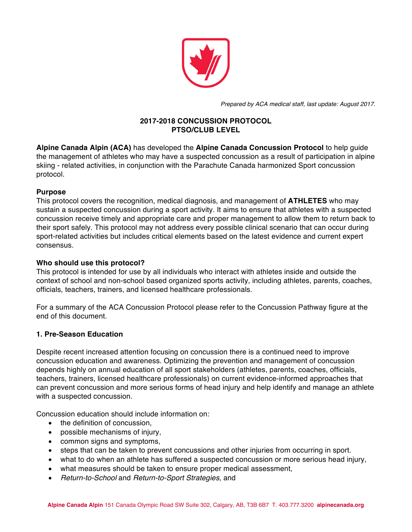

*Prepared by ACA medical staff, last update: August 2017.*

### **2017-2018 CONCUSSION PROTOCOL PTSO/CLUB LEVEL**

**Alpine Canada Alpin (ACA)** has developed the **Alpine Canada Concussion Protocol** to help guide the management of athletes who may have a suspected concussion as a result of participation in alpine skiing - related activities, in conjunction with the Parachute Canada harmonized Sport concussion protocol.

## **Purpose**

This protocol covers the recognition, medical diagnosis, and management of **ATHLETES** who may sustain a suspected concussion during a sport activity. It aims to ensure that athletes with a suspected concussion receive timely and appropriate care and proper management to allow them to return back to their sport safely. This protocol may not address every possible clinical scenario that can occur during sport-related activities but includes critical elements based on the latest evidence and current expert consensus.

## **Who should use this protocol?**

This protocol is intended for use by all individuals who interact with athletes inside and outside the context of school and non-school based organized sports activity, including athletes, parents, coaches, officials, teachers, trainers, and licensed healthcare professionals.

For a summary of the ACA Concussion Protocol please refer to the Concussion Pathway figure at the end of this document.

## **1. Pre-Season Education**

Despite recent increased attention focusing on concussion there is a continued need to improve concussion education and awareness. Optimizing the prevention and management of concussion depends highly on annual education of all sport stakeholders (athletes, parents, coaches, officials, teachers, trainers, licensed healthcare professionals) on current evidence-informed approaches that can prevent concussion and more serious forms of head injury and help identify and manage an athlete with a suspected concussion.

Concussion education should include information on:

- the definition of concussion,
- possible mechanisms of injury,
- common signs and symptoms,
- steps that can be taken to prevent concussions and other injuries from occurring in sport.
- what to do when an athlete has suffered a suspected concussion or more serious head injury,
- what measures should be taken to ensure proper medical assessment,
- *Return-to-School* and *Return-to-Sport Strategies*, and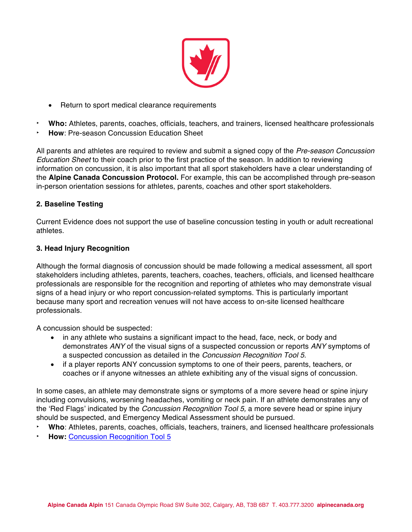

- Return to sport medical clearance requirements
- ‣ **Who:** Athletes, parents, coaches, officials, teachers, and trainers, licensed healthcare professionals
- ‣ **How**: Pre-season Concussion Education Sheet

All parents and athletes are required to review and submit a signed copy of the *Pre-season Concussion Education Sheet* to their coach prior to the first practice of the season. In addition to reviewing information on concussion, it is also important that all sport stakeholders have a clear understanding of the **Alpine Canada Concussion Protocol.** For example, this can be accomplished through pre-season in-person orientation sessions for athletes, parents, coaches and other sport stakeholders.

#### **2. Baseline Testing**

Current Evidence does not support the use of baseline concussion testing in youth or adult recreational athletes.

#### **3. Head Injury Recognition**

Although the formal diagnosis of concussion should be made following a medical assessment, all sport stakeholders including athletes, parents, teachers, coaches, teachers, officials, and licensed healthcare professionals are responsible for the recognition and reporting of athletes who may demonstrate visual signs of a head injury or who report concussion-related symptoms. This is particularly important because many sport and recreation venues will not have access to on-site licensed healthcare professionals.

A concussion should be suspected:

- in any athlete who sustains a significant impact to the head, face, neck, or body and demonstrates *ANY* of the visual signs of a suspected concussion or reports *ANY* symptoms of a suspected concussion as detailed in the *Concussion Recognition Tool 5*.
- if a player reports ANY concussion symptoms to one of their peers, parents, teachers, or coaches or if anyone witnesses an athlete exhibiting any of the visual signs of concussion.

In some cases, an athlete may demonstrate signs or symptoms of a more severe head or spine injury including convulsions, worsening headaches, vomiting or neck pain. If an athlete demonstrates any of the 'Red Flags' indicated by the *Concussion Recognition Tool 5,* a more severe head or spine injury should be suspected, and Emergency Medical Assessment should be pursued.

- ‣ **Who**: Athletes, parents, coaches, officials, teachers, trainers, and licensed healthcare professionals
- ‣ **How:** Concussion Recognition Tool 5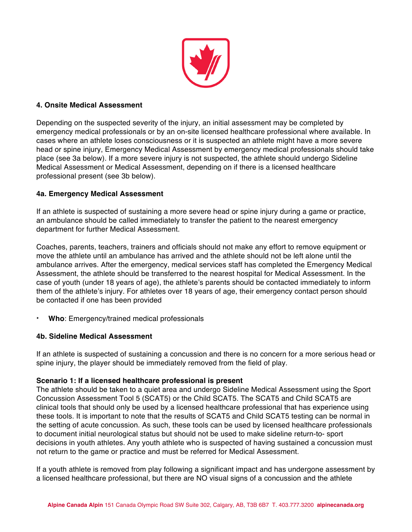

#### **4. Onsite Medical Assessment**

Depending on the suspected severity of the injury, an initial assessment may be completed by emergency medical professionals or by an on-site licensed healthcare professional where available. In cases where an athlete loses consciousness or it is suspected an athlete might have a more severe head or spine injury, Emergency Medical Assessment by emergency medical professionals should take place (see 3a below). If a more severe injury is not suspected, the athlete should undergo Sideline Medical Assessment or Medical Assessment, depending on if there is a licensed healthcare professional present (see 3b below).

## **4a. Emergency Medical Assessment**

If an athlete is suspected of sustaining a more severe head or spine injury during a game or practice, an ambulance should be called immediately to transfer the patient to the nearest emergency department for further Medical Assessment.

Coaches, parents, teachers, trainers and officials should not make any effort to remove equipment or move the athlete until an ambulance has arrived and the athlete should not be left alone until the ambulance arrives. After the emergency, medical services staff has completed the Emergency Medical Assessment, the athlete should be transferred to the nearest hospital for Medical Assessment. In the case of youth (under 18 years of age), the athlete's parents should be contacted immediately to inform them of the athlete's injury. For athletes over 18 years of age, their emergency contact person should be contacted if one has been provided

‣ **Who**: Emergency/trained medical professionals

#### **4b. Sideline Medical Assessment**

If an athlete is suspected of sustaining a concussion and there is no concern for a more serious head or spine injury, the player should be immediately removed from the field of play.

#### **Scenario 1: If a licensed healthcare professional is present**

The athlete should be taken to a quiet area and undergo Sideline Medical Assessment using the Sport Concussion Assessment Tool 5 (SCAT5) or the Child SCAT5. The SCAT5 and Child SCAT5 are clinical tools that should only be used by a licensed healthcare professional that has experience using these tools. It is important to note that the results of SCAT5 and Child SCAT5 testing can be normal in the setting of acute concussion. As such, these tools can be used by licensed healthcare professionals to document initial neurological status but should not be used to make sideline return-to- sport decisions in youth athletes. Any youth athlete who is suspected of having sustained a concussion must not return to the game or practice and must be referred for Medical Assessment.

If a youth athlete is removed from play following a significant impact and has undergone assessment by a licensed healthcare professional, but there are NO visual signs of a concussion and the athlete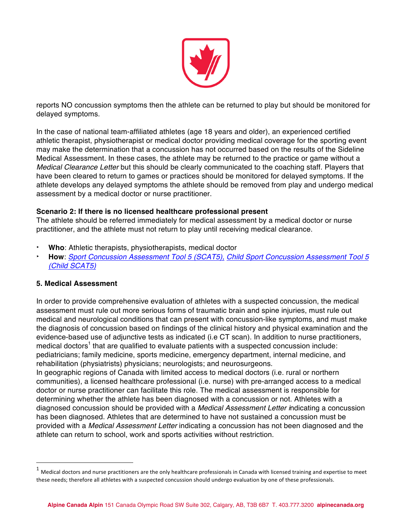

reports NO concussion symptoms then the athlete can be returned to play but should be monitored for delayed symptoms.

In the case of national team-affiliated athletes (age 18 years and older), an experienced certified athletic therapist, physiotherapist or medical doctor providing medical coverage for the sporting event may make the determination that a concussion has not occurred based on the results of the Sideline Medical Assessment. In these cases, the athlete may be returned to the practice or game without a *Medical Clearance Letter* but this should be clearly communicated to the coaching staff. Players that have been cleared to return to games or practices should be monitored for delayed symptoms. If the athlete develops any delayed symptoms the athlete should be removed from play and undergo medical assessment by a medical doctor or nurse practitioner.

#### **Scenario 2: If there is no licensed healthcare professional present**

The athlete should be referred immediately for medical assessment by a medical doctor or nurse practitioner, and the athlete must not return to play until receiving medical clearance.

- ‣ **Who**: Athletic therapists, physiotherapists, medical doctor
- ‣ **How**: *Sport Concussion Assessment Tool 5 (SCAT5), Child Sport Concussion Assessment Tool 5 (Child SCAT5)*

#### **5. Medical Assessment**

 $\overline{a}$ 

In order to provide comprehensive evaluation of athletes with a suspected concussion, the medical assessment must rule out more serious forms of traumatic brain and spine injuries, must rule out medical and neurological conditions that can present with concussion-like symptoms, and must make the diagnosis of concussion based on findings of the clinical history and physical examination and the evidence-based use of adjunctive tests as indicated (i.e CT scan). In addition to nurse practitioners, medical doctors<sup>1</sup> that are qualified to evaluate patients with a suspected concussion include: pediatricians; family medicine, sports medicine, emergency department, internal medicine, and rehabilitation (physiatrists) physicians; neurologists; and neurosurgeons.

In geographic regions of Canada with limited access to medical doctors (i.e. rural or northern communities), a licensed healthcare professional (i.e. nurse) with pre-arranged access to a medical doctor or nurse practitioner can facilitate this role. The medical assessment is responsible for determining whether the athlete has been diagnosed with a concussion or not. Athletes with a diagnosed concussion should be provided with a *Medical Assessment Letter i*ndicating a concussion has been diagnosed. Athletes that are determined to have not sustained a concussion must be provided with a *Medical Assessment Letter* indicating a concussion has not been diagnosed and the athlete can return to school, work and sports activities without restriction.

 $1$  Medical doctors and nurse practitioners are the only healthcare professionals in Canada with licensed training and expertise to meet these needs; therefore all athletes with a suspected concussion should undergo evaluation by one of these professionals.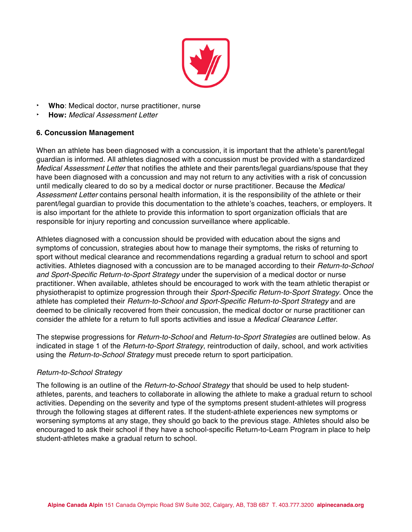

- ‣ **Who**: Medical doctor, nurse practitioner, nurse
- ‣ **How:** *Medical Assessment Letter*

#### **6. Concussion Management**

When an athlete has been diagnosed with a concussion, it is important that the athlete's parent/legal guardian is informed. All athletes diagnosed with a concussion must be provided with a standardized *Medical Assessment Letter* that notifies the athlete and their parents/legal guardians/spouse that they have been diagnosed with a concussion and may not return to any activities with a risk of concussion until medically cleared to do so by a medical doctor or nurse practitioner. Because the *Medical Assessment Letter* contains personal health information, it is the responsibility of the athlete or their parent/legal guardian to provide this documentation to the athlete's coaches, teachers, or employers. It is also important for the athlete to provide this information to sport organization officials that are responsible for injury reporting and concussion surveillance where applicable.

Athletes diagnosed with a concussion should be provided with education about the signs and symptoms of concussion, strategies about how to manage their symptoms, the risks of returning to sport without medical clearance and recommendations regarding a gradual return to school and sport activities. Athletes diagnosed with a concussion are to be managed according to their *Return-to-School and Sport-Specific Return-to-Sport Strategy* under the supervision of a medical doctor or nurse practitioner*.* When available, athletes should be encouraged to work with the team athletic therapist or physiotherapist to optimize progression through their *Sport-Specific Return-to-Sport Strategy.* Once the athlete has completed their *Return-to-School and Sport-Specific Return-to-Sport Strategy* and are deemed to be clinically recovered from their concussion, the medical doctor or nurse practitioner can consider the athlete for a return to full sports activities and issue a *Medical Clearance Letter*.

The stepwise progressions for *Return-to-School* and *Return-to-Sport Strategies* are outlined below. As indicated in stage 1 of the *Return-to-Sport Strategy*, reintroduction of daily, school, and work activities using the *Return-to-School Strategy* must precede return to sport participation.

#### *Return-to-School Strategy*

The following is an outline of the *Return-to-School Strategy* that should be used to help studentathletes, parents, and teachers to collaborate in allowing the athlete to make a gradual return to school activities. Depending on the severity and type of the symptoms present student-athletes will progress through the following stages at different rates. If the student-athlete experiences new symptoms or worsening symptoms at any stage, they should go back to the previous stage. Athletes should also be encouraged to ask their school if they have a school-specific Return-to-Learn Program in place to help student-athletes make a gradual return to school.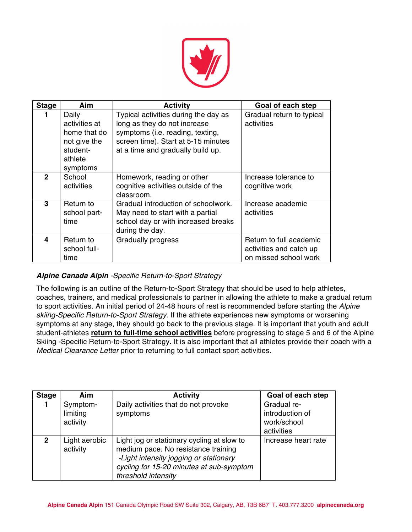

| <b>Stage</b> | Aim                                                                                       | <b>Activity</b>                                                                                                                                                                      | Goal of each step                                                           |
|--------------|-------------------------------------------------------------------------------------------|--------------------------------------------------------------------------------------------------------------------------------------------------------------------------------------|-----------------------------------------------------------------------------|
|              | Daily<br>activities at<br>home that do<br>not give the<br>student-<br>athlete<br>symptoms | Typical activities during the day as<br>long as they do not increase<br>symptoms (i.e. reading, texting,<br>screen time). Start at 5-15 minutes<br>at a time and gradually build up. | Gradual return to typical<br>activities                                     |
| $\mathbf{2}$ | School<br>activities                                                                      | Homework, reading or other<br>cognitive activities outside of the<br>classroom.                                                                                                      | Increase tolerance to<br>cognitive work                                     |
| 3            | Return to<br>school part-<br>time                                                         | Gradual introduction of schoolwork.<br>May need to start with a partial<br>school day or with increased breaks<br>during the day.                                                    | Increase academic<br>activities                                             |
| 4            | Return to<br>school full-<br>time                                                         | <b>Gradually progress</b>                                                                                                                                                            | Return to full academic<br>activities and catch up<br>on missed school work |

## *Alpine Canada Alpin -Specific Return-to-Sport Strategy*

The following is an outline of the Return-to-Sport Strategy that should be used to help athletes, coaches, trainers, and medical professionals to partner in allowing the athlete to make a gradual return to sport activities. An initial period of 24-48 hours of rest is recommended before starting the *Alpine skiing-Specific Return-to-Sport Strategy.* If the athlete experiences new symptoms or worsening symptoms at any stage, they should go back to the previous stage. It is important that youth and adult student-athletes **return to full-time school activities** before progressing to stage 5 and 6 of the Alpine Skiing -Specific Return-to-Sport Strategy. It is also important that all athletes provide their coach with a *Medical Clearance Letter* prior to returning to full contact sport activities.

| <b>Stage</b> | Aim                              | <b>Activity</b>                                                                                                                                                                                | Goal of each step                                           |
|--------------|----------------------------------|------------------------------------------------------------------------------------------------------------------------------------------------------------------------------------------------|-------------------------------------------------------------|
|              | Symptom-<br>limiting<br>activity | Daily activities that do not provoke<br>symptoms                                                                                                                                               | Gradual re-<br>introduction of<br>work/school<br>activities |
| $\mathbf{p}$ | Light aerobic<br>activity        | Light jog or stationary cycling at slow to<br>medium pace. No resistance training<br>-Light intensity jogging or stationary<br>cycling for 15-20 minutes at sub-symptom<br>threshold intensity | Increase heart rate                                         |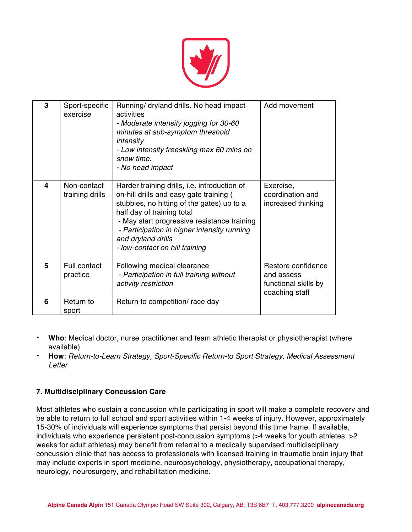

| 3 | Sport-specific<br>exercise     | Running/ dryland drills. No head impact<br>activities<br>- Moderate intensity jogging for 30-60<br>minutes at sub-symptom threshold<br>intensity<br>- Low intensity freeskiing max 60 mins on<br>snow time<br>- No head impact                                                                                            | Add movement                                                               |
|---|--------------------------------|---------------------------------------------------------------------------------------------------------------------------------------------------------------------------------------------------------------------------------------------------------------------------------------------------------------------------|----------------------------------------------------------------------------|
| 4 | Non-contact<br>training drills | Harder training drills, i.e. introduction of<br>on-hill drills and easy gate training (<br>stubbies, no hitting of the gates) up to a<br>half day of training total<br>- May start progressive resistance training<br>- Participation in higher intensity running<br>and dryland drills<br>- low-contact on hill training | Exercise,<br>coordination and<br>increased thinking                        |
| 5 | Full contact<br>practice       | Following medical clearance<br>- Participation in full training without<br>activity restriction                                                                                                                                                                                                                           | Restore confidence<br>and assess<br>functional skills by<br>coaching staff |
| 6 | Return to<br>sport             | Return to competition/ race day                                                                                                                                                                                                                                                                                           |                                                                            |

- ‣ **Who**: Medical doctor, nurse practitioner and team athletic therapist or physiotherapist (where available)
- ‣ **How**: *Return-to-Learn Strategy, Sport-Specific Return-to Sport Strategy, Medical Assessment Letter*

## **7. Multidisciplinary Concussion Care**

Most athletes who sustain a concussion while participating in sport will make a complete recovery and be able to return to full school and sport activities within 1-4 weeks of injury. However, approximately 15-30% of individuals will experience symptoms that persist beyond this time frame. If available, individuals who experience persistent post-concussion symptoms (>4 weeks for youth athletes, >2 weeks for adult athletes) may benefit from referral to a medically supervised multidisciplinary concussion clinic that has access to professionals with licensed training in traumatic brain injury that may include experts in sport medicine, neuropsychology, physiotherapy, occupational therapy, neurology, neurosurgery, and rehabilitation medicine.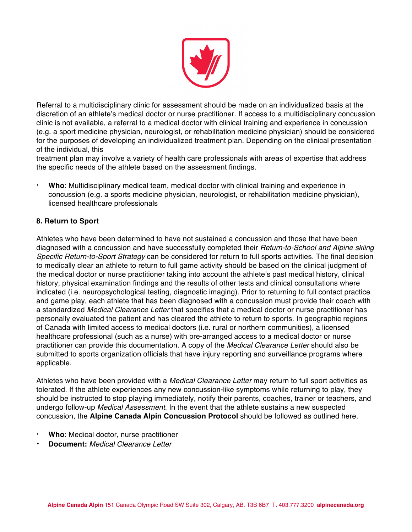

Referral to a multidisciplinary clinic for assessment should be made on an individualized basis at the discretion of an athlete's medical doctor or nurse practitioner. If access to a multidisciplinary concussion clinic is not available, a referral to a medical doctor with clinical training and experience in concussion (e.g. a sport medicine physician, neurologist, or rehabilitation medicine physician) should be considered for the purposes of developing an individualized treatment plan. Depending on the clinical presentation of the individual, this

treatment plan may involve a variety of health care professionals with areas of expertise that address the specific needs of the athlete based on the assessment findings.

‣ **Who**: Multidisciplinary medical team, medical doctor with clinical training and experience in concussion (e.g. a sports medicine physician, neurologist, or rehabilitation medicine physician), licensed healthcare professionals

## **8. Return to Sport**

Athletes who have been determined to have not sustained a concussion and those that have been diagnosed with a concussion and have successfully completed their *Return-to-School and Alpine skiing Specific Return-to-Sport Strategy* can be considered for return to full sports activities. The final decision to medically clear an athlete to return to full game activity should be based on the clinical judgment of the medical doctor or nurse practitioner taking into account the athlete's past medical history, clinical history, physical examination findings and the results of other tests and clinical consultations where indicated (i.e. neuropsychological testing, diagnostic imaging). Prior to returning to full contact practice and game play, each athlete that has been diagnosed with a concussion must provide their coach with a standardized *Medical Clearance Letter* that specifies that a medical doctor or nurse practitioner has personally evaluated the patient and has cleared the athlete to return to sports. In geographic regions of Canada with limited access to medical doctors (i.e. rural or northern communities), a licensed healthcare professional (such as a nurse) with pre-arranged access to a medical doctor or nurse practitioner can provide this documentation. A copy of the *Medical Clearance Letter* should also be submitted to sports organization officials that have injury reporting and surveillance programs where applicable.

Athletes who have been provided with a *Medical Clearance Letter* may return to full sport activities as tolerated. If the athlete experiences any new concussion-like symptoms while returning to play, they should be instructed to stop playing immediately, notify their parents, coaches, trainer or teachers, and undergo follow-up *Medical Assessment*. In the event that the athlete sustains a new suspected concussion, the **Alpine Canada Alpin Concussion Protocol** should be followed as outlined here.

- ‣ **Who**: Medical doctor, nurse practitioner
- ‣ **Document:** *Medical Clearance Letter*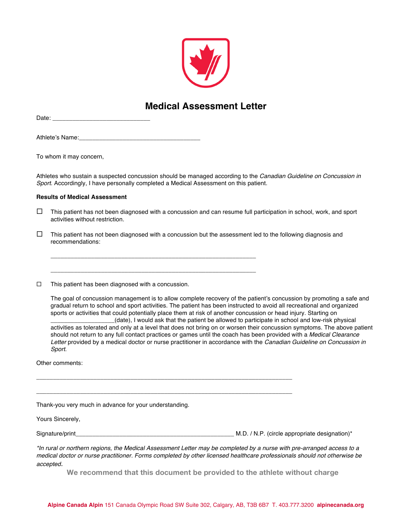

## **Medical Assessment Letter**

| Date: |  | ____ |  |
|-------|--|------|--|
|       |  |      |  |
|       |  |      |  |
|       |  |      |  |

Athlete's Name:\_\_\_\_\_\_\_\_\_\_\_\_\_\_\_\_\_\_\_\_\_\_\_\_\_\_\_\_\_\_\_\_\_\_\_\_

To whom it may concern,

\_\_\_\_\_\_\_\_\_\_\_\_\_\_\_\_\_\_\_\_\_\_\_\_\_\_\_\_\_\_\_\_\_\_\_\_\_\_\_\_\_\_\_\_\_\_\_\_\_\_\_\_\_\_\_\_\_\_\_\_\_

\_\_\_\_\_\_\_\_\_\_\_\_\_\_\_\_\_\_\_\_\_\_\_\_\_\_\_\_\_\_\_\_\_\_\_\_\_\_\_\_\_\_\_\_\_\_\_\_\_\_\_\_\_\_\_\_\_\_\_\_\_

\_\_\_\_\_\_\_\_\_\_\_\_\_\_\_\_\_\_\_\_\_\_\_\_\_\_\_\_\_\_\_\_\_\_\_\_\_\_\_\_\_\_\_\_\_\_\_\_\_\_\_\_\_\_\_\_\_\_\_\_\_\_\_\_\_\_\_\_\_\_\_\_\_\_\_\_

\_\_\_\_\_\_\_\_\_\_\_\_\_\_\_\_\_\_\_\_\_\_\_\_\_\_\_\_\_\_\_\_\_\_\_\_\_\_\_\_\_\_\_\_\_\_\_\_\_\_\_\_\_\_\_\_\_\_\_\_\_\_\_\_\_\_\_\_\_\_\_\_\_\_\_\_

Athletes who sustain a suspected concussion should be managed according to the *Canadian Guideline on Concussion in Sport*. Accordingly, I have personally completed a Medical Assessment on this patient.

#### **Results of Medical Assessment**

- $\Box$  This patient has not been diagnosed with a concussion and can resume full participation in school, work, and sport activities without restriction.
- $\Box$  This patient has not been diagnosed with a concussion but the assessment led to the following diagnosis and recommendations:
- $\square$  This patient has been diagnosed with a concussion.

The goal of concussion management is to allow complete recovery of the patient's concussion by promoting a safe and gradual return to school and sport activities. The patient has been instructed to avoid all recreational and organized sports or activities that could potentially place them at risk of another concussion or head injury. Starting on \_\_\_\_\_\_\_\_\_\_\_\_\_\_\_\_\_\_\_(date), I would ask that the patient be allowed to participate in school and low-risk physical

activities as tolerated and only at a level that does not bring on or worsen their concussion symptoms. The above patient should not return to any full contact practices or games until the coach has been provided with a *Medical Clearance Letter* provided by a medical doctor or nurse practitioner in accordance with the *Canadian Guideline on Concussion in Sport*.

Other comments:

Thank-you very much in advance for your understanding.

Yours Sincerely,

Signature/print\_\_\_\_\_\_\_\_\_\_\_\_\_\_\_\_\_\_\_\_\_\_\_\_\_\_\_\_\_\_\_\_\_\_\_\_\_\_\_\_\_\_\_\_\_\_\_ M.D. / N.P. (circle appropriate designation)\*

| *In rural or northern regions, the Medical Assessment Letter may be completed by a nurse with pre-arranged access to a   |
|--------------------------------------------------------------------------------------------------------------------------|
| medical doctor or nurse practitioner. Forms completed by other licensed healthcare professionals should not otherwise be |
| accepted.                                                                                                                |

**We recommend that this document be provided to the athlete without charge**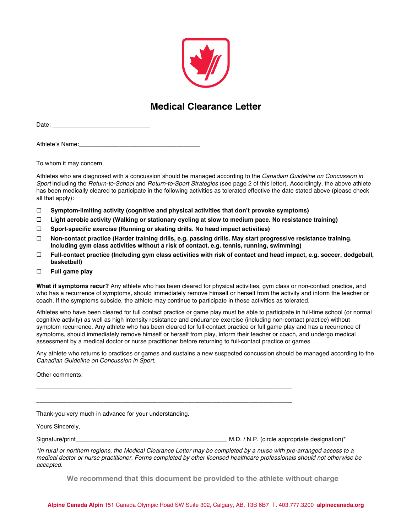

## **Medical Clearance Letter**

Date:

Athlete's Name:

To whom it may concern,

Athletes who are diagnosed with a concussion should be managed according to the *Canadian Guideline on Concussion in Sport* including the *Return-to-School* and *Return-to-Sport Strategies* (see page 2 of this letter). Accordingly, the above athlete has been medically cleared to participate in the following activities as tolerated effective the date stated above (please check all that apply):

- ¨ **Symptom-limiting activity (cognitive and physical activities that don't provoke symptoms)**
- ¨ **Light aerobic activity (Walking or stationary cycling at slow to medium pace. No resistance training)**
- ¨ **Sport-specific exercise (Running or skating drills. No head impact activities)**

\_\_\_\_\_\_\_\_\_\_\_\_\_\_\_\_\_\_\_\_\_\_\_\_\_\_\_\_\_\_\_\_\_\_\_\_\_\_\_\_\_\_\_\_\_\_\_\_\_\_\_\_\_\_\_\_\_\_\_\_\_\_\_\_\_\_\_\_\_\_\_\_\_\_\_\_

\_\_\_\_\_\_\_\_\_\_\_\_\_\_\_\_\_\_\_\_\_\_\_\_\_\_\_\_\_\_\_\_\_\_\_\_\_\_\_\_\_\_\_\_\_\_\_\_\_\_\_\_\_\_\_\_\_\_\_\_\_\_\_\_\_\_\_\_\_\_\_\_\_\_\_\_

- ¨ **Non-contact practice (Harder training drills, e.g. passing drills. May start progressive resistance training. Including gym class activities without a risk of contact, e.g. tennis, running, swimming)**
- ¨ **Full-contact practice (Including gym class activities with risk of contact and head impact, e.g. soccer, dodgeball, basketball)**
- ¨ **Full game play**

**What if symptoms recur?** Any athlete who has been cleared for physical activities, gym class or non-contact practice, and who has a recurrence of symptoms, should immediately remove himself or herself from the activity and inform the teacher or coach. If the symptoms subside, the athlete may continue to participate in these activities as tolerated.

Athletes who have been cleared for full contact practice or game play must be able to participate in full-time school (or normal cognitive activity) as well as high intensity resistance and endurance exercise (including non-contact practice) without symptom recurrence. Any athlete who has been cleared for full-contact practice or full game play and has a recurrence of symptoms, should immediately remove himself or herself from play, inform their teacher or coach, and undergo medical assessment by a medical doctor or nurse practitioner before returning to full-contact practice or games.

Any athlete who returns to practices or games and sustains a new suspected concussion should be managed according to the *Canadian Guideline on Concussion in Sport*.

Other comments:

Thank-you very much in advance for your understanding.

Yours Sincerely,

Signature/print\_\_\_\_\_\_\_\_\_\_\_\_\_\_\_\_\_\_\_\_\_\_\_\_\_\_\_\_\_\_\_\_\_\_\_\_\_\_\_\_\_\_\_\_\_ M.D. / N.P. (circle appropriate designation)\*

*\*In rural or northern regions, the Medical Clearance Letter may be completed by a nurse with pre-arranged access to a medical doctor or nurse practitioner. Forms completed by other licensed healthcare professionals should not otherwise be accepted.*

**We recommend that this document be provided to the athlete without charge**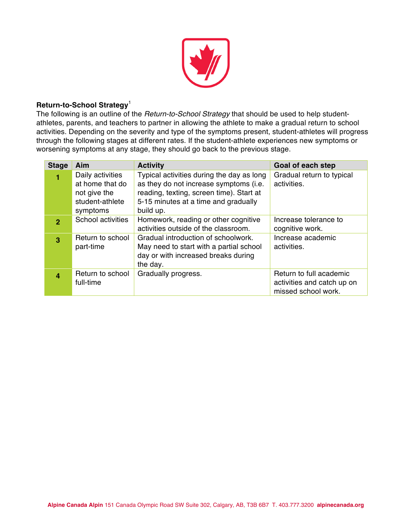

#### **Return-to-School Strategy**<sup>1</sup>

The following is an outline of the *Return-to-School Strategy* that should be used to help studentathletes, parents, and teachers to partner in allowing the athlete to make a gradual return to school activities. Depending on the severity and type of the symptoms present, student-athletes will progress through the following stages at different rates. If the student-athlete experiences new symptoms or worsening symptoms at any stage, they should go back to the previous stage.

| <b>Stage</b>   | Aim               | <b>Activity</b>                           | Goal of each step          |
|----------------|-------------------|-------------------------------------------|----------------------------|
|                | Daily activities  | Typical activities during the day as long | Gradual return to typical  |
|                | at home that do   | as they do not increase symptoms (i.e.    | activities.                |
|                | not give the      | reading, texting, screen time). Start at  |                            |
|                | student-athlete   | 5-15 minutes at a time and gradually      |                            |
|                | symptoms          | build up.                                 |                            |
| $\overline{2}$ | School activities | Homework, reading or other cognitive      | Increase tolerance to      |
|                |                   | activities outside of the classroom.      | cognitive work.            |
| $\overline{3}$ | Return to school  | Gradual introduction of schoolwork.       | Increase academic          |
|                | part-time         | May need to start with a partial school   | activities.                |
|                |                   | day or with increased breaks during       |                            |
|                |                   | the day.                                  |                            |
| 4              | Return to school  | Gradually progress.                       | Return to full academic    |
|                | full-time         |                                           | activities and catch up on |
|                |                   |                                           | missed school work.        |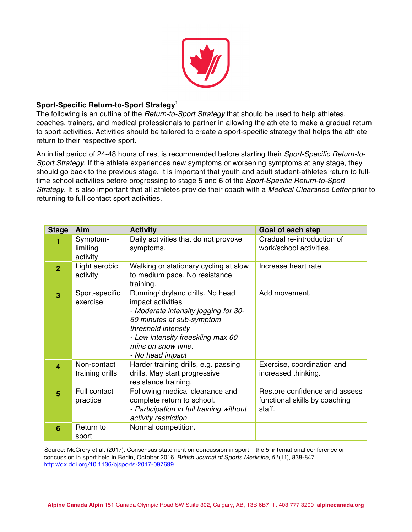

### **Sport-Specific Return-to-Sport Strategy**<sup>1</sup>

The following is an outline of the *Return-to-Sport Strategy* that should be used to help athletes, coaches, trainers, and medical professionals to partner in allowing the athlete to make a gradual return to sport activities. Activities should be tailored to create a sport-specific strategy that helps the athlete return to their respective sport.

An initial period of 24-48 hours of rest is recommended before starting their *Sport-Specific Return-to-Sport Strategy.* If the athlete experiences new symptoms or worsening symptoms at any stage, they should go back to the previous stage. It is important that youth and adult student-athletes return to fulltime school activities before progressing to stage 5 and 6 of the *Sport-Specific Return-to-Sport Strategy*. It is also important that all athletes provide their coach with a *Medical Clearance Letter* prior to returning to full contact sport activities.

| <b>Stage</b>   | Aim                              | <b>Activity</b>                                                                                                                                                                                                                  | Goal of each step                                                        |
|----------------|----------------------------------|----------------------------------------------------------------------------------------------------------------------------------------------------------------------------------------------------------------------------------|--------------------------------------------------------------------------|
| 1              | Symptom-<br>limiting<br>activity | Daily activities that do not provoke<br>symptoms.                                                                                                                                                                                | Gradual re-introduction of<br>work/school activities.                    |
| $\overline{2}$ | Light aerobic<br>activity        | Walking or stationary cycling at slow<br>to medium pace. No resistance<br>training.                                                                                                                                              | Increase heart rate.                                                     |
| 3              | Sport-specific<br>exercise       | Running/ dryland drills. No head<br>impact activities<br>- Moderate intensity jogging for 30-<br>60 minutes at sub-symptom<br>threshold intensity<br>- Low intensity freeskiing max 60<br>mins on snow time.<br>- No head impact | Add movement.                                                            |
| $\overline{4}$ | Non-contact<br>training drills   | Harder training drills, e.g. passing<br>drills. May start progressive<br>resistance training.                                                                                                                                    | Exercise, coordination and<br>increased thinking.                        |
| 5              | Full contact<br>practice         | Following medical clearance and<br>complete return to school.<br>- Participation in full training without<br>activity restriction                                                                                                | Restore confidence and assess<br>functional skills by coaching<br>staff. |
| 6              | Return to<br>sport               | Normal competition.                                                                                                                                                                                                              |                                                                          |

Source: McCrory et al. (2017). Consensus statement on concussion in sport – the 5<sup>.</sup> international conference on concussion in sport held in Berlin, October 2016. *British Journal of Sports Medicine, 51*(11), 838-847. http://dx.doi.org/10.1136/bjsports-2017-097699